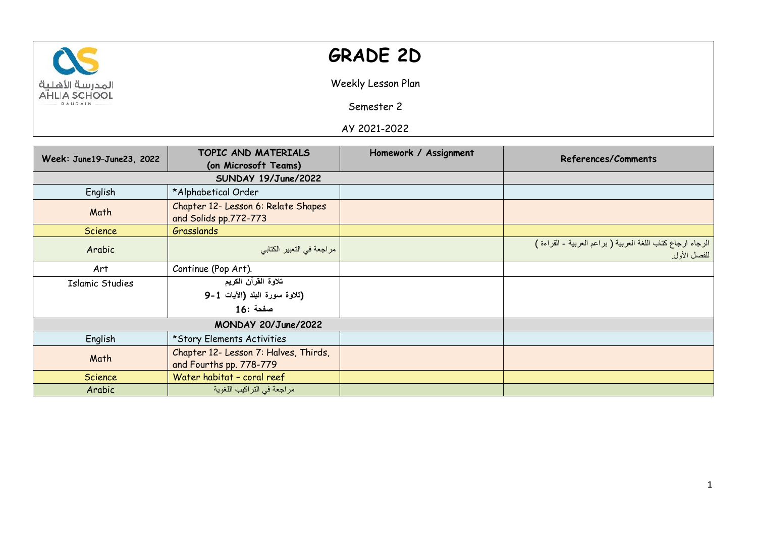

## **GRADE 2D**

Weekly Lesson Plan

Semester 2

AY 2021-2022

| Week: June19-June23, 2022 | TOPIC AND MATERIALS                                              | Homework / Assignment | References/Comments                                                       |
|---------------------------|------------------------------------------------------------------|-----------------------|---------------------------------------------------------------------------|
|                           | (on Microsoft Teams)                                             |                       |                                                                           |
|                           |                                                                  |                       |                                                                           |
| English                   | *Alphabetical Order                                              |                       |                                                                           |
| Math                      | Chapter 12- Lesson 6: Relate Shapes<br>and Solids pp.772-773     |                       |                                                                           |
| Science                   | Grasslands                                                       |                       |                                                                           |
| Arabic                    | مراجعة في التعبير الكتابي                                        |                       | الرجاء ارجاع كتاب اللغة العربية (براعم العربية - القراءة )<br>للفصل الأول |
| Art                       | Continue (Pop Art).                                              |                       |                                                                           |
| <b>Islamic Studies</b>    | تلاوة القرآن الكريم                                              |                       |                                                                           |
|                           | (تلاوة سورة البلد (الآيات 1-9                                    |                       |                                                                           |
|                           | صفحة :16                                                         |                       |                                                                           |
| MONDAY 20/June/2022       |                                                                  |                       |                                                                           |
| English                   | *Story Elements Activities                                       |                       |                                                                           |
| Math                      | Chapter 12- Lesson 7: Halves, Thirds,<br>and Fourths pp. 778-779 |                       |                                                                           |
| Science                   | Water habitat - coral reef                                       |                       |                                                                           |
| Arabic                    | مراجعة في التراكيب اللغوية                                       |                       |                                                                           |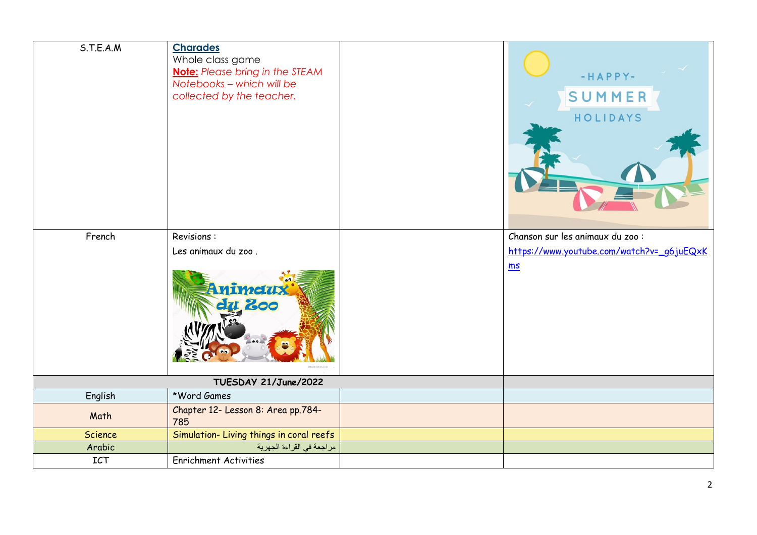| S.T.E.A.M                 | <b>Charades</b><br>Whole class game<br><b>Note:</b> Please bring in the STEAM<br>Notebooks - which will be<br>collected by the teacher. |  | $-HAPPY-$<br>SUMMER<br>HOLIDAYS            |
|---------------------------|-----------------------------------------------------------------------------------------------------------------------------------------|--|--------------------------------------------|
| French                    | Revisions:                                                                                                                              |  | Chanson sur les animaux du zoo :           |
|                           | Les animaux du zoo.                                                                                                                     |  | https://www.youtube.com/watch?v=_g6.juEQxK |
|                           | nimetux<br>200                                                                                                                          |  | m s                                        |
| TUESDAY 21/June/2022      |                                                                                                                                         |  |                                            |
| English                   | *Word Games                                                                                                                             |  |                                            |
| Math                      | Chapter 12- Lesson 8: Area pp.784-<br>785                                                                                               |  |                                            |
| <b>Science</b>            | Simulation-Living things in coral reefs                                                                                                 |  |                                            |
| Arabic                    | مراجعة في القراءة الجهرية                                                                                                               |  |                                            |
| $\ensuremath{\text{ICT}}$ | <b>Enrichment Activities</b>                                                                                                            |  |                                            |